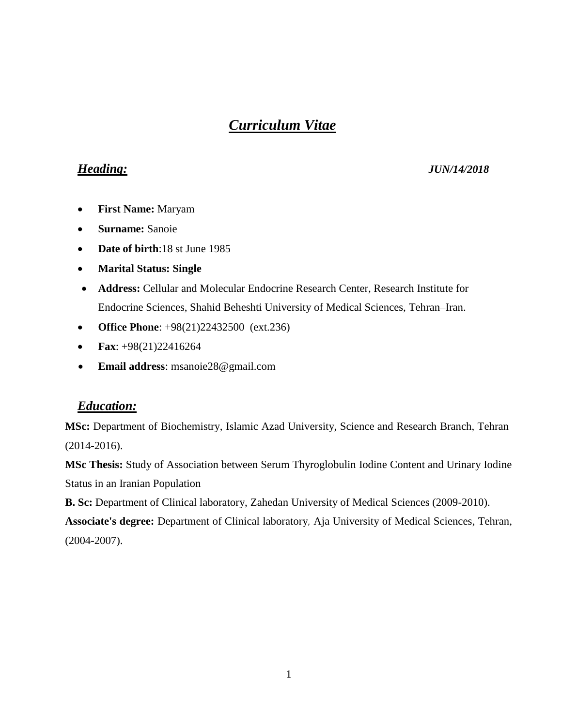# *Curriculum Vitae*

#### *Heading: JUN/14/2018*

- **First Name:** Maryam
- **Surname:** Sanoie
- **Date of birth:**18 st June 1985
- **Marital Status: Single**
- **Address:** Cellular and Molecular Endocrine Research Center, Research Institute for Endocrine Sciences, Shahid Beheshti University of Medical Sciences, Tehran–Iran.
- **Office Phone**: +98(21)22432500 (ext.236)
- **Fax**: +98(21)22416264
- **Email address**: msanoie28@gmail.com

## *Education:*

**MSc:** Department of [Biochemistry,](https://en.wikipedia.org/wiki/Clinical_biochemistry) Islamic Azad University, Science and Research Branch, Tehran (2014-2016).

**MSc Thesis:** Study of Association between Serum Thyroglobulin Iodine Content and Urinary Iodine Status in an Iranian Population

**B. Sc:** Department of Clinical laboratory, Zahedan University of Medical Sciences (2009-2010).

**Associate's degree:** Department of Clinical laboratory*,* Aja University of Medical Sciences, Tehran, (2004-2007).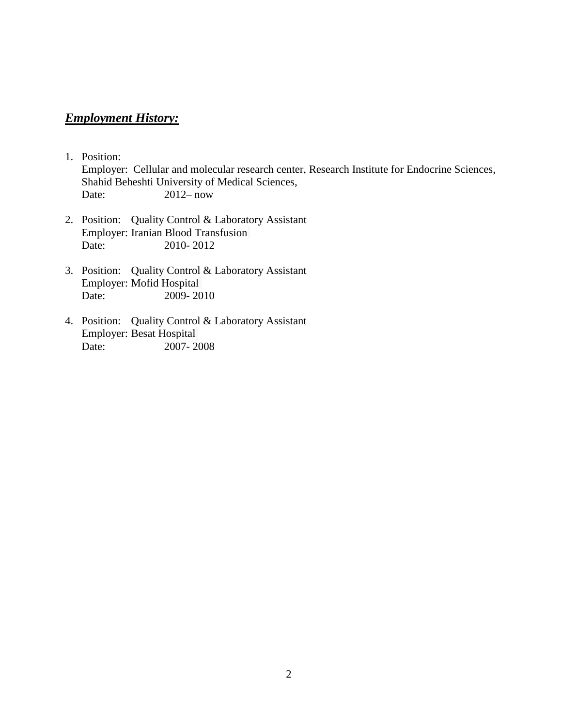## *Employment History:*

- 1. Position: Employer: Cellular and molecular research center, Research Institute for Endocrine Sciences, Shahid Beheshti University of Medical Sciences, Date: 2012– now
- 2. Position: Quality Control & Laboratory Assistant Employer: Iranian Blood Transfusion Date: 2010- 2012
- 3. Position: Quality Control & Laboratory Assistant Employer: Mofid Hospital<br>Date: 2009-20  $2009 - 2010$
- 4. Position: Quality Control & Laboratory Assistant Employer: Besat Hospital Date: 2007- 2008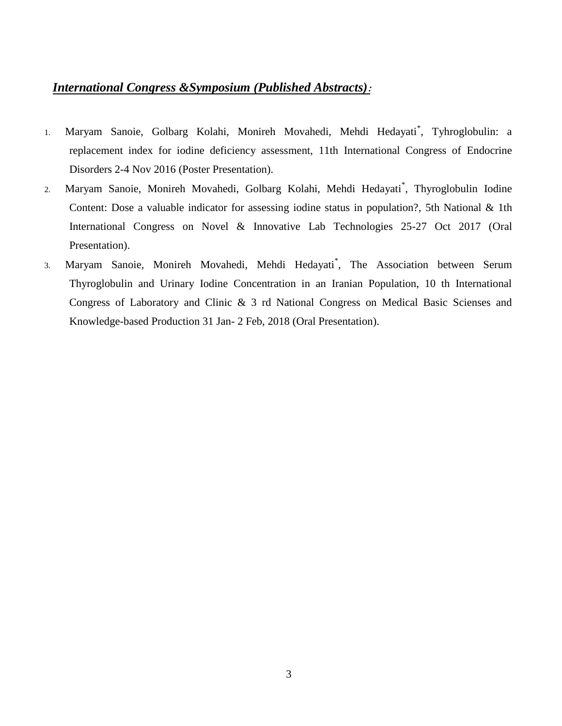# *International Congress &Symposium (Published Abstracts)***:**

- 1. Maryam Sanoie, Golbarg Kolahi, Monireh Movahedi, Mehdi Hedayati\* , Tyhroglobulin: a replacement index for iodine deficiency assessment, 11th International Congress of Endocrine Disorders 2-4 Nov 2016 (Poster Presentation).
- 2. Maryam Sanoie, Monireh Movahedi, Golbarg Kolahi, Mehdi Hedayati\* , Thyroglobulin Iodine Content: Dose a valuable indicator for assessing iodine status in population?, 5th National & 1th International Congress on Novel & Innovative Lab Technologies 25-27 Oct 2017 (Oral Presentation).
- 3. Maryam Sanoie, Monireh Movahedi, Mehdi Hedayati\* , The Association between Serum Thyroglobulin and Urinary Iodine Concentration in an Iranian Population, 10 th International Congress of Laboratory and Clinic & 3 rd National Congress on Medical Basic Scienses and Knowledge-based Production 31 Jan- 2 Feb, 2018 (Oral Presentation).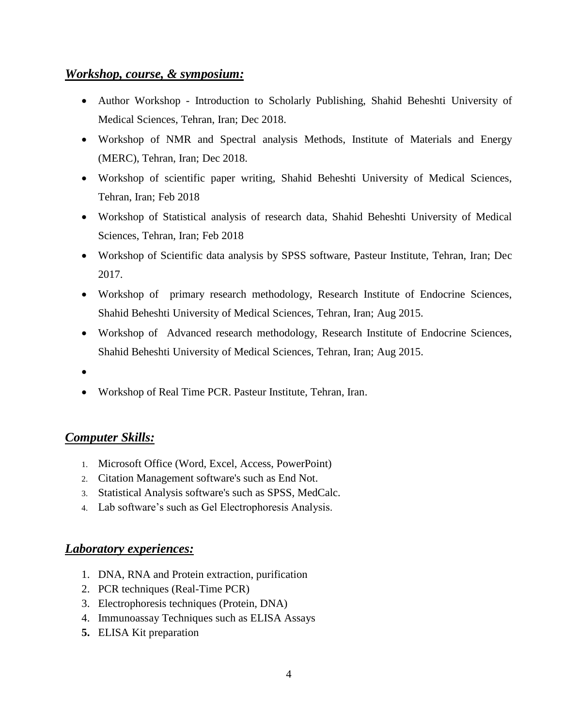#### *Workshop, course, & symposium:*

- Author Workshop Introduction to Scholarly Publishing, Shahid Beheshti University of Medical Sciences, Tehran, Iran; Dec 2018.
- Workshop of NMR and Spectral analysis Methods, Institute of Materials and Energy (MERC), Tehran, Iran; Dec 2018.
- Workshop of scientific paper writing, Shahid Beheshti University of Medical Sciences, Tehran, Iran; Feb 2018
- Workshop of Statistical analysis of research data, Shahid Beheshti University of Medical Sciences, Tehran, Iran; Feb 2018
- Workshop of Scientific data analysis by SPSS software, Pasteur Institute, Tehran, Iran; Dec 2017.
- Workshop of primary research methodology, Research Institute of Endocrine Sciences, Shahid Beheshti University of Medical Sciences, Tehran, Iran; Aug 2015.
- Workshop of Advanced research methodology, Research Institute of Endocrine Sciences, Shahid Beheshti University of Medical Sciences, Tehran, Iran; Aug 2015.
- $\bullet$
- Workshop of Real Time PCR. Pasteur Institute, Tehran, Iran.

## *Computer Skills:*

- 1. Microsoft Office (Word, Excel, Access, PowerPoint)
- 2. Citation Management software's such as End Not.
- 3. Statistical Analysis software's such as SPSS, MedCalc.
- 4. Lab software's such as Gel Electrophoresis Analysis.

## *Laboratory experiences:*

- 1. DNA, RNA and Protein extraction, purification
- 2. PCR techniques (Real-Time PCR)
- 3. Electrophoresis techniques (Protein, DNA)
- 4. Immunoassay Techniques such as ELISA Assays
- **5.** ELISA Kit preparation